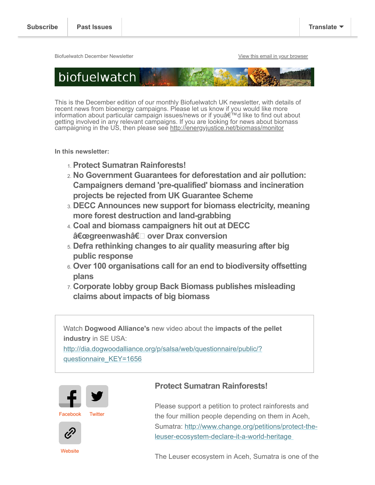Biofuelwatch December Newsletter **[View this email in your browser](https://us4.campaign-archive.com/?e=5a0e257e60&u=2589f2f766b714016ebb1254c&id=01a87fc2be)** View this email in your browser



This is the December edition of our monthly Biofuelwatch UK newsletter, with details of recent news from bioenergy campaigns. Please let us know if you would like more information about particular campaign issues/news or if youâ€<sup>™</sup>d like to find out about getting involved in any relevant campaigns. If you are looking for news about biomass campaigning in the US, then please see <http://energyjustice.net/biomass/monitor>

**In this newsletter:**

- 1. **Protect Sumatran Rainforests!**
- 2. **No Government Guarantees for deforestation and air pollution: Campaigners demand 'pre-qualified' biomass and incineration projects be rejected from UK Guarantee Scheme**
- 3. **DECC Announces new support for biomass electricity, meaning more forest destruction and land-grabbing**
- 4. **Coal and biomass campaigners hit out at DECC "greenwashâ€ over Drax conversion**
- 5. **Defra rethinking changes to air quality measuring after big public response**
- 6. **Over 100 organisations call for an end to biodiversity offsetting plans**
- 7. **Corporate lobby group Back Biomass publishes misleading claims about impacts of big biomass**

Watch **Dogwood Alliance's** new video about the **impacts of the pellet industry** in SE USA:

[http://dia.dogwoodalliance.org/p/salsa/web/questionnaire/public/?](http://dia.dogwoodalliance.org/p/salsa/web/questionnaire/public/?questionnaire_KEY=1656) questionnaire\_KEY=1656



[Facebook](https://www.facebook.com/Biofuelwatch) [Twitter](https://twitter.com/biofuelwatch)



**[Website](http://biofuelwatch.org.uk/)** 

# **Protect Sumatran Rainforests!**

Please support a petition to protect rainforests and the four million people depending on them in Aceh, [Sumatra: http://www.change.org/petitions/protect-the](http://www.change.org/petitions/protect-the-leuser-ecosystem-declare-it-a-world-heritage)leuser-ecosystem-declare-it-a-world-heritage

The Leuser ecosystem in Aceh, Sumatra is one of the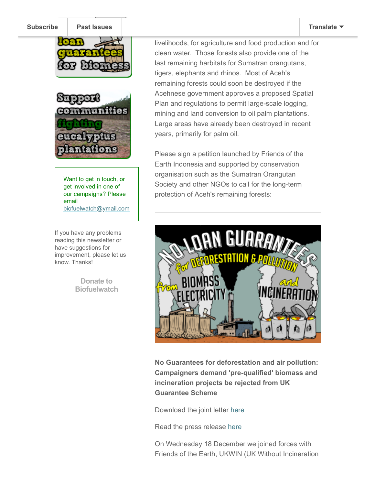### **[Subscribe](http://eepurl.com/IdZwv) [Past Issues](https://us4.campaign-archive.com/home/?u=2589f2f766b714016ebb1254c&id=d1fb3a23fa) [Translate](javascript:;)**





Want to get in touch, or get involved in one of our campaigns? Please email [biofuelwatch@ymail.com](http://biofuelwatch@ymail.com/)

If you have any problems reading this newsletter or have suggestions for improvement, please let us know. Thanks!

> **Donate to [Biofuelwatch](http://www.biofuelwatch.org.uk/donate/)**

livelihoods, for agriculture and food production and for clean water. Those forests also provide one of the last remaining harbitats for Sumatran orangutans, tigers, elephants and rhinos. Most of Aceh's remaining forests could soon be destroyed if the Acehnese government approves a proposed Spatial Plan and regulations to permit large-scale logging, mining and land conversion to oil palm plantations. Large areas have already been destroyed in recent years, primarily for palm oil.

Please sign a petition launched by Friends of the Earth Indonesia and supported by conservation organisation such as the Sumatran Orangutan Society and other NGOs to call for the long-term protection of Aceh's remaining forests:



**No Guarantees for deforestation and air pollution: Campaigners demand 'pre-qualified' biomass and incineration projects be rejected from UK Guarantee Scheme**

Download the joint letter [here](http://www.biofuelwatch.org.uk/wp-content/uploads/Capital-Guarantee-Scheme-joint-letter.pdf)

Read the press release [here](http://www.biofuelwatch.org.uk/wp-content/uploads/Treasury-UK-Guarantee-joint-letter-advisory.pdf)

On Wednesday 18 December we joined forces with Friends of the Earth, UKWIN (UK Without Incineration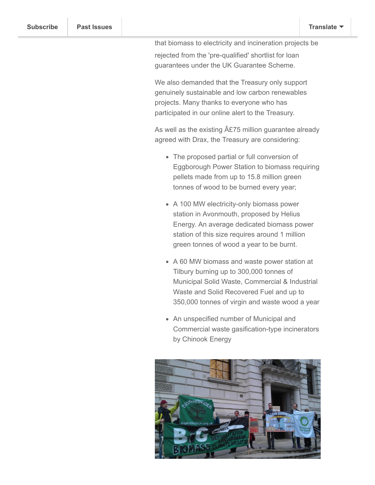that biomass to electricity and incineration projects be rejected from the 'pre-qualified' shortlist for loan guarantees under the UK Guarantee Scheme.

We also demanded that the Treasury only support genuinely sustainable and low carbon renewables projects. Many thanks to everyone who has participated in our online alert to the Treasury.

As well as the existing  $A\&75$  million guarantee already agreed with Drax, the Treasury are considering:

- The proposed partial or full conversion of Eggborough Power Station to biomass requiring pellets made from up to 15.8 million green tonnes of wood to be burned every year;
- A 100 MW electricity-only biomass power station in Avonmouth, proposed by Helius Energy. An average dedicated biomass power station of this size requires around 1 million green tonnes of wood a year to be burnt.
- A 60 MW biomass and waste power station at Tilbury burning up to 300,000 tonnes of Municipal Solid Waste, Commercial & Industrial Waste and Solid Recovered Fuel and up to 350,000 tonnes of virgin and waste wood a year
- An unspecified number of Municipal and Commercial waste gasification-type incinerators by Chinook Energy

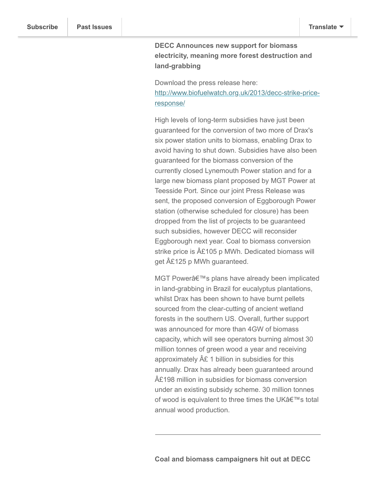# **DECC Announces new support for biomass electricity, meaning more forest destruction and land-grabbing**

Download the press release here: [http://www.biofuelwatch.org.uk/2013/decc-strike-price](http://www.biofuelwatch.org.uk/2013/decc-strike-price-response/)response/

High levels of long-term subsidies have just been guaranteed for the conversion of two more of Drax's six power station units to biomass, enabling Drax to avoid having to shut down. Subsidies have also been guaranteed for the biomass conversion of the currently closed Lynemouth Power station and for a large new biomass plant proposed by MGT Power at Teesside Port. Since our joint Press Release was sent, the proposed conversion of Eggborough Power station (otherwise scheduled for closure) has been dropped from the list of projects to be guaranteed such subsidies, however DECC will reconsider Eggborough next year. Coal to biomass conversion strike price is  $\hat{A}E105$  p MWh. Dedicated biomass will get  $AE125$  p MWh guaranteed.

MGT Power's plans have already been implicated in land-grabbing in Brazil for eucalyptus plantations, whilst Drax has been shown to have burnt pellets sourced from the clear-cutting of ancient wetland forests in the southern US. Overall, further support was announced for more than 4GW of biomass capacity, which will see operators burning almost 30 million tonnes of green wood a year and receiving approximately A£ 1 billion in subsidies for this annually. Drax has already been guaranteed around £198 million in subsidies for biomass conversion under an existing subsidy scheme. 30 million tonnes of wood is equivalent to three times the UK $a \in \mathbb{N}$ s total annual wood production.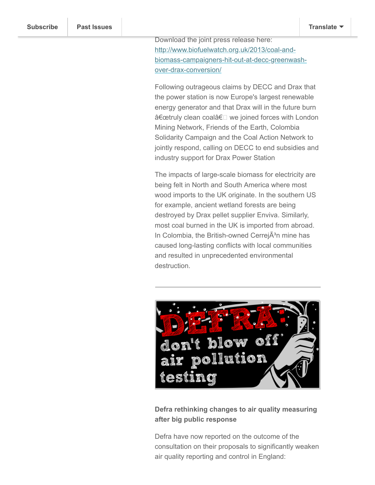Download the joint press release here: http://www.biofuelwatch.org.uk/2013/coal-and[biomass-campaigners-hit-out-at-decc-greenwash](http://www.biofuelwatch.org.uk/2013/coal-and-biomass-campaigners-hit-out-at-decc-greenwash-over-drax-conversion/)over-drax-conversion/

Following outrageous claims by DECC and Drax that the power station is now Europe's largest renewable energy generator and that Drax will in the future burn "truly clean coalâ€<sup>[]</sup> we joined forces with London Mining Network, Friends of the Earth, Colombia Solidarity Campaign and the Coal Action Network to jointly respond, calling on DECC to end subsidies and industry support for Drax Power Station

The impacts of large-scale biomass for electricity are being felt in North and South America where most wood imports to the UK originate. In the southern US for example, ancient wetland forests are being destroyed by Drax pellet supplier Enviva. Similarly, most coal burned in the UK is imported from abroad. In Colombia, the British-owned Cerrej A<sup>3</sup>n mine has caused long-lasting conflicts with local communities and resulted in unprecedented environmental destruction.



**Defra rethinking changes to air quality measuring after big public response**

Defra have now reported on the outcome of the consultation on their proposals to significantly weaken air quality reporting and control in England: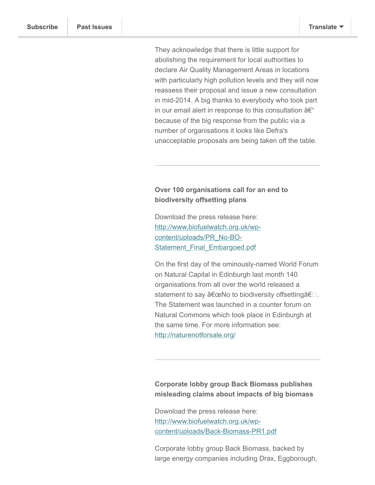They acknowledge that there is little support for abolishing the requirement for local authorities to declare Air Quality Management Areas in locations with particularly high pollution levels and they will now reassess their proposal and issue a new consultation in mid-2014. A big thanks to everybody who took part in our email alert in response to this consultation  $a \in \mathcal{C}$ because of the big response from the public via a number of organisations it looks like Defra's unacceptable proposals are being taken off the table.

## **Over 100 organisations call for an end to biodiversity offsetting plans**

Download the press release here: [http://www.biofuelwatch.org.uk/wp](http://www.biofuelwatch.org.uk/wp-content/uploads/PR_No-BO-Statement_Final_Embargoed.pdf)content/uploads/PR\_No-BO-Statement Final Embargoed.pdf

On the first day of the ominously-named World Forum on Natural Capital in Edinburgh last month 140 organisations from all over the world released a statement to say  $\hat{a} \in \text{ceNo}$  to biodiversity offsetting $\hat{a} \in \square$ . The Statement was launched in a counter forum on Natural Commons which took place in Edinburgh at the same time. For more information see: <http://naturenotforsale.org/>

**Corporate lobby group Back Biomass publishes misleading claims about impacts of big biomass**

Download the press release here: http://www.biofuelwatch.org.uk/wp[content/uploads/Back-Biomass-PR1.pdf](http://www.biofuelwatch.org.uk/wp-content/uploads/Back-Biomass-PR1.pdf)

Corporate lobby group Back Biomass, backed by large energy companies including Drax, Eggborough,